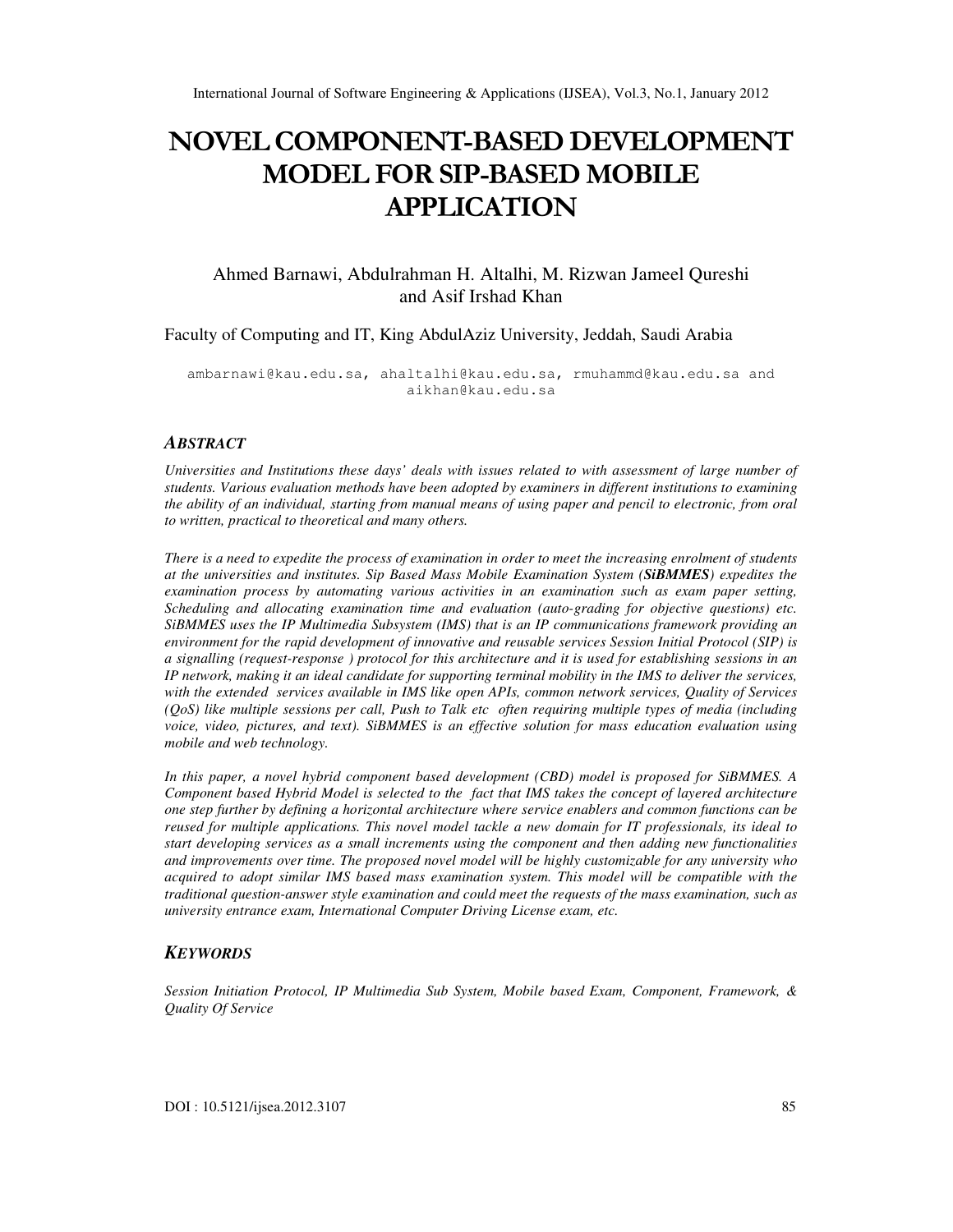# NOVEL COMPONENT-BASED DEVELOPMENT MODEL FOR SIP-BASED MOBILE APPLICATION

Ahmed Barnawi, Abdulrahman H. Altalhi, M. Rizwan Jameel Qureshi and Asif Irshad Khan

Faculty of Computing and IT, King AbdulAziz University, Jeddah, Saudi Arabia

ambarnawi@kau.edu.sa, ahaltalhi@kau.edu.sa, rmuhammd@kau.edu.sa and aikhan@kau.edu.sa

#### *ABSTRACT*

*Universities and Institutions these days' deals with issues related to with assessment of large number of students. Various evaluation methods have been adopted by examiners in different institutions to examining the ability of an individual, starting from manual means of using paper and pencil to electronic, from oral to written, practical to theoretical and many others.* 

*There is a need to expedite the process of examination in order to meet the increasing enrolment of students at the universities and institutes. Sip Based Mass Mobile Examination System (SiBMMES) expedites the examination process by automating various activities in an examination such as exam paper setting, Scheduling and allocating examination time and evaluation (auto-grading for objective questions) etc. SiBMMES uses the IP Multimedia Subsystem (IMS) that is an IP communications framework providing an environment for the rapid development of innovative and reusable services Session Initial Protocol (SIP) is a signalling (request-response ) protocol for this architecture and it is used for establishing sessions in an IP network, making it an ideal candidate for supporting terminal mobility in the IMS to deliver the services, with the extended services available in IMS like open APIs, common network services, Quality of Services (QoS) like multiple sessions per call, Push to Talk etc often requiring multiple types of media (including voice, video, pictures, and text). SiBMMES is an effective solution for mass education evaluation using mobile and web technology.* 

*In this paper, a novel hybrid component based development (CBD) model is proposed for SiBMMES. A Component based Hybrid Model is selected to the fact that IMS takes the concept of layered architecture one step further by defining a horizontal architecture where service enablers and common functions can be reused for multiple applications. This novel model tackle a new domain for IT professionals, its ideal to start developing services as a small increments using the component and then adding new functionalities and improvements over time. The proposed novel model will be highly customizable for any university who acquired to adopt similar IMS based mass examination system. This model will be compatible with the traditional question-answer style examination and could meet the requests of the mass examination, such as university entrance exam, International Computer Driving License exam, etc.* 

### *KEYWORDS*

*Session Initiation Protocol, IP Multimedia Sub System, Mobile based Exam, Component, Framework, & Quality Of Service*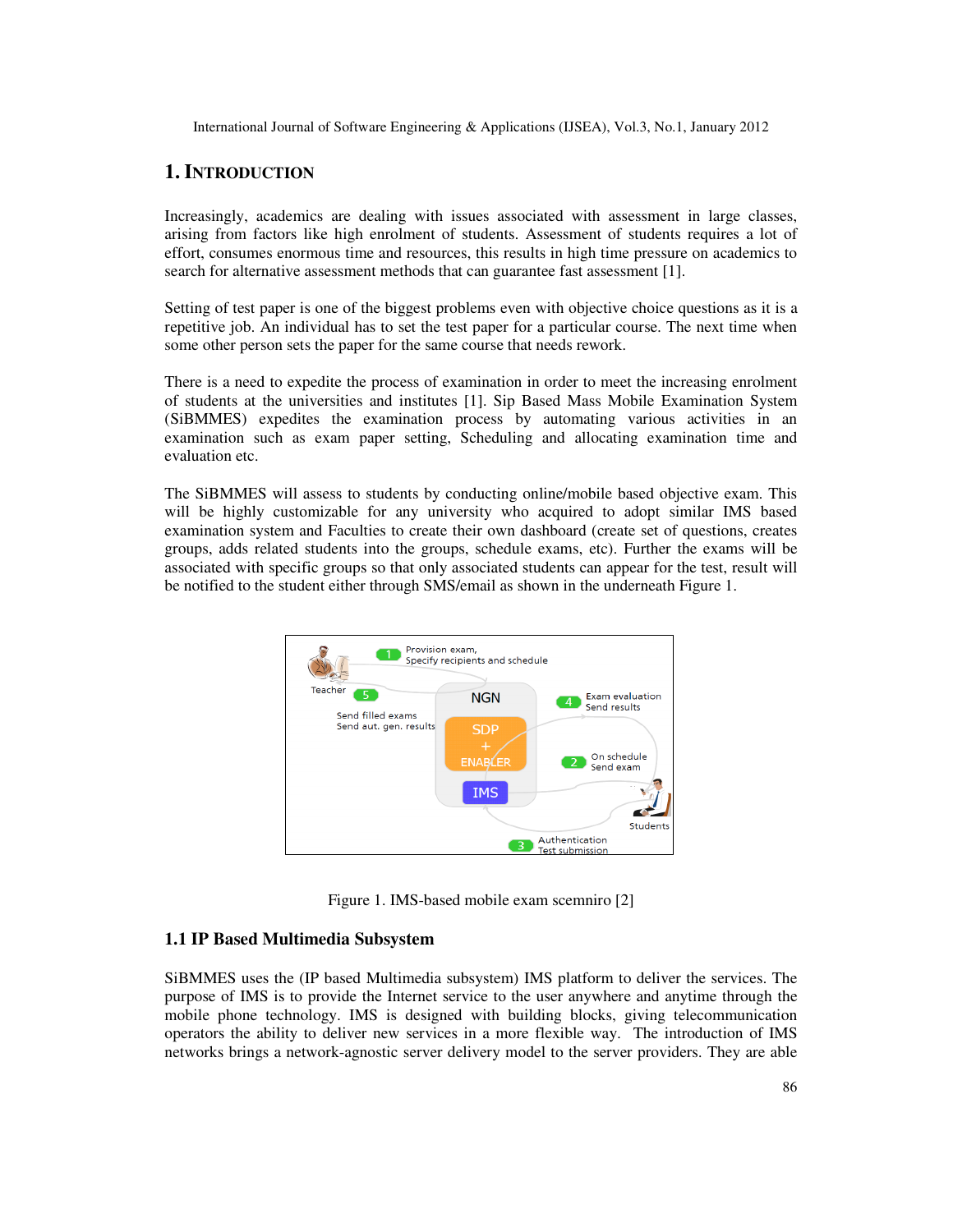# **1. INTRODUCTION**

Increasingly, academics are dealing with issues associated with assessment in large classes, arising from factors like high enrolment of students. Assessment of students requires a lot of effort, consumes enormous time and resources, this results in high time pressure on academics to search for alternative assessment methods that can guarantee fast assessment [1].

Setting of test paper is one of the biggest problems even with objective choice questions as it is a repetitive job. An individual has to set the test paper for a particular course. The next time when some other person sets the paper for the same course that needs rework.

There is a need to expedite the process of examination in order to meet the increasing enrolment of students at the universities and institutes [1]. Sip Based Mass Mobile Examination System (SiBMMES) expedites the examination process by automating various activities in an examination such as exam paper setting, Scheduling and allocating examination time and evaluation etc.

The SiBMMES will assess to students by conducting online/mobile based objective exam. This will be highly customizable for any university who acquired to adopt similar IMS based examination system and Faculties to create their own dashboard (create set of questions, creates groups, adds related students into the groups, schedule exams, etc). Further the exams will be associated with specific groups so that only associated students can appear for the test, result will be notified to the student either through SMS/email as shown in the underneath Figure 1.



Figure 1. IMS-based mobile exam scemniro [2]

## **1.1 IP Based Multimedia Subsystem**

SiBMMES uses the (IP based Multimedia subsystem) IMS platform to deliver the services. The purpose of IMS is to provide the Internet service to the user anywhere and anytime through the mobile phone technology. IMS is designed with building blocks, giving telecommunication operators the ability to deliver new services in a more flexible way. The introduction of IMS networks brings a network-agnostic server delivery model to the server providers. They are able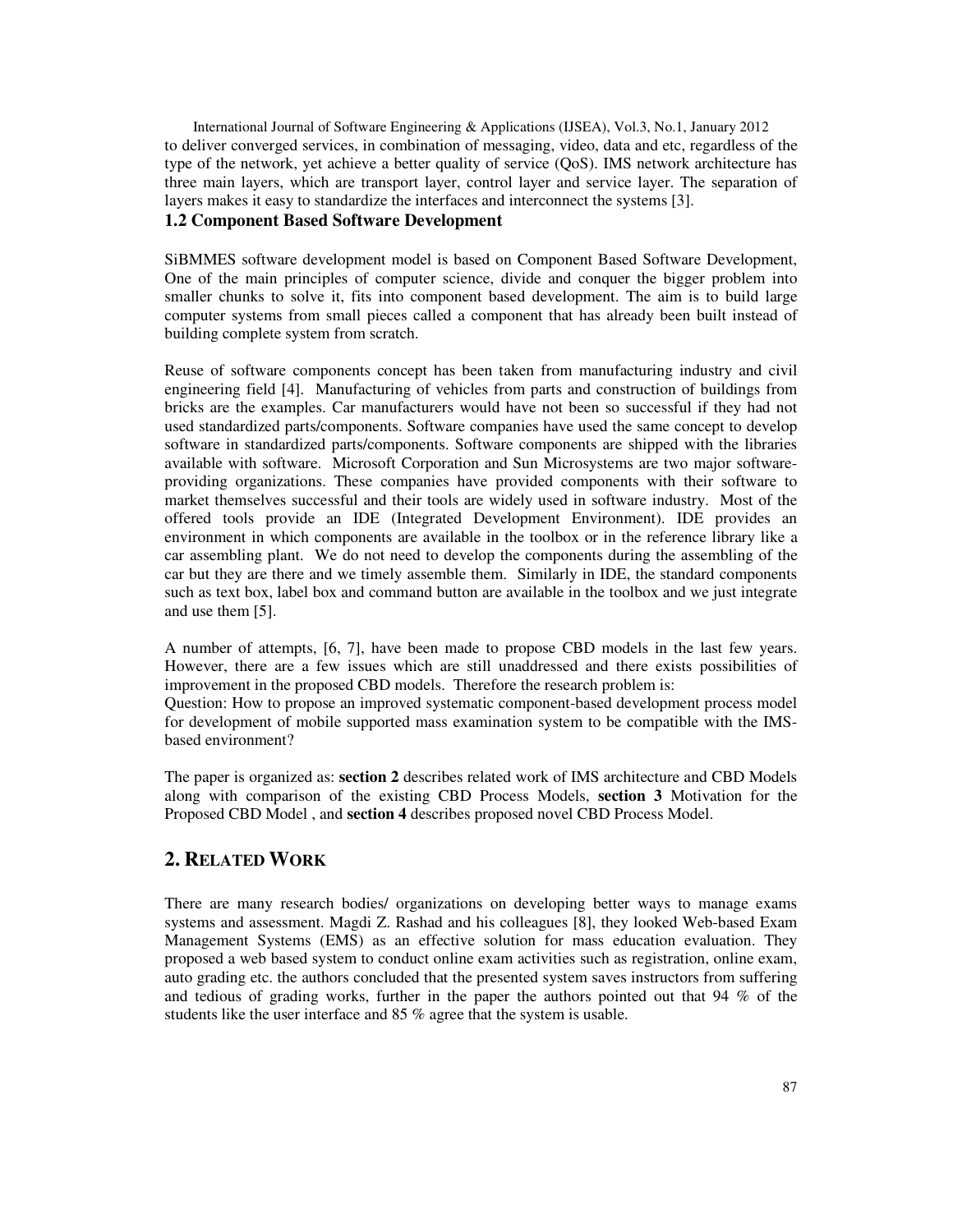International Journal of Software Engineering & Applications (IJSEA), Vol.3, No.1, January 2012 to deliver converged services, in combination of messaging, video, data and etc, regardless of the type of the network, yet achieve a better quality of service (QoS). IMS network architecture has three main layers, which are transport layer, control layer and service layer. The separation of layers makes it easy to standardize the interfaces and interconnect the systems [3].

# **1.2 Component Based Software Development**

SiBMMES software development model is based on Component Based Software Development, One of the main principles of computer science, divide and conquer the bigger problem into smaller chunks to solve it, fits into component based development. The aim is to build large computer systems from small pieces called a component that has already been built instead of building complete system from scratch.

Reuse of software components concept has been taken from manufacturing industry and civil engineering field [4]. Manufacturing of vehicles from parts and construction of buildings from bricks are the examples. Car manufacturers would have not been so successful if they had not used standardized parts/components. Software companies have used the same concept to develop software in standardized parts/components. Software components are shipped with the libraries available with software. Microsoft Corporation and Sun Microsystems are two major softwareproviding organizations. These companies have provided components with their software to market themselves successful and their tools are widely used in software industry. Most of the offered tools provide an IDE (Integrated Development Environment). IDE provides an environment in which components are available in the toolbox or in the reference library like a car assembling plant. We do not need to develop the components during the assembling of the car but they are there and we timely assemble them. Similarly in IDE, the standard components such as text box, label box and command button are available in the toolbox and we just integrate and use them [5].

A number of attempts, [6, 7], have been made to propose CBD models in the last few years. However, there are a few issues which are still unaddressed and there exists possibilities of improvement in the proposed CBD models. Therefore the research problem is:

Question: How to propose an improved systematic component-based development process model for development of mobile supported mass examination system to be compatible with the IMSbased environment?

The paper is organized as: **section 2** describes related work of IMS architecture and CBD Models along with comparison of the existing CBD Process Models, **section 3** Motivation for the Proposed CBD Model , and **section 4** describes proposed novel CBD Process Model.

# **2. RELATED WORK**

There are many research bodies/ organizations on developing better ways to manage exams systems and assessment. Magdi Z. Rashad and his colleagues [8], they looked Web-based Exam Management Systems (EMS) as an effective solution for mass education evaluation. They proposed a web based system to conduct online exam activities such as registration, online exam, auto grading etc. the authors concluded that the presented system saves instructors from suffering and tedious of grading works, further in the paper the authors pointed out that 94 % of the students like the user interface and 85 % agree that the system is usable.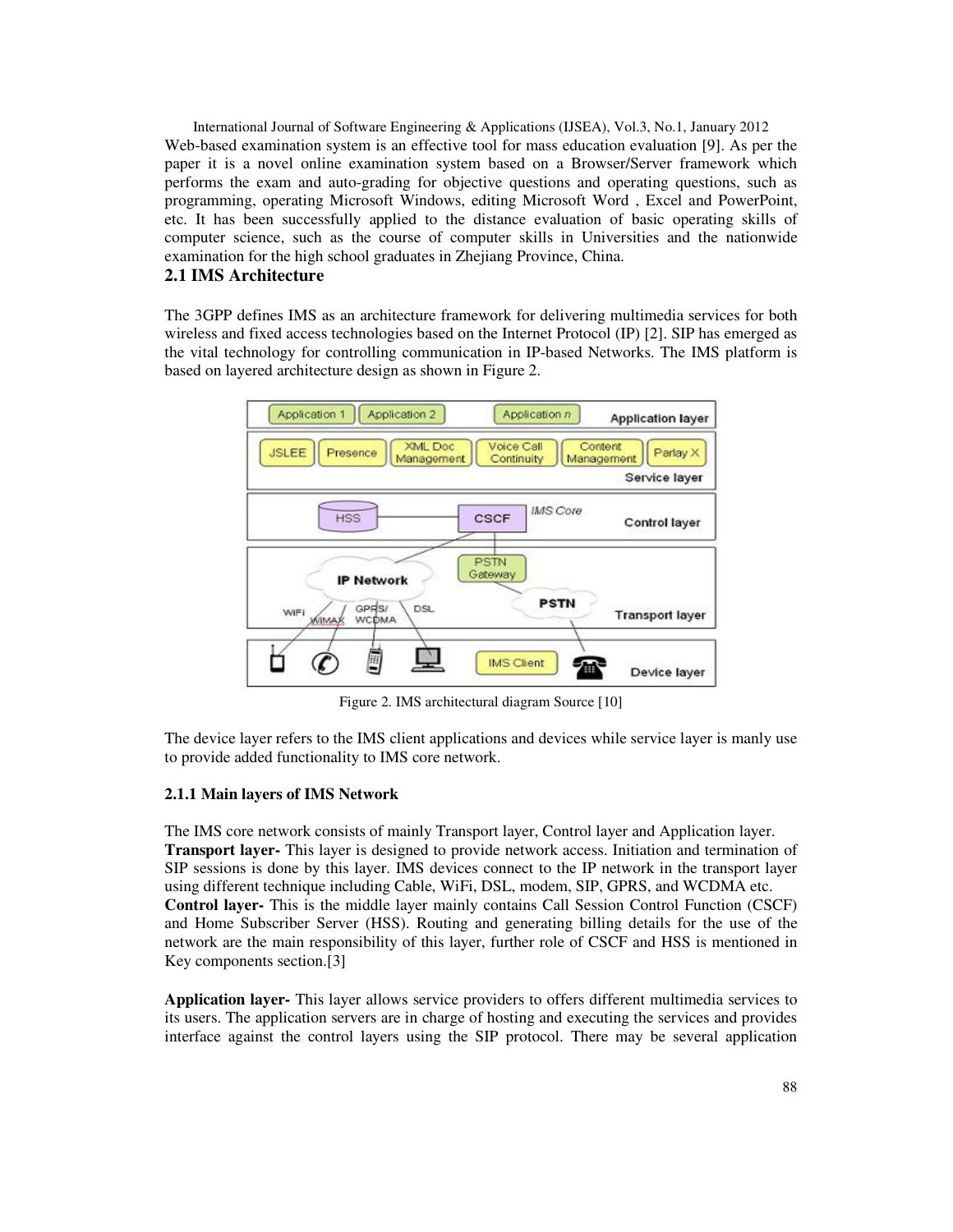International Journal of Software Engineering & Applications (IJSEA), Vol.3, No.1, January 2012 Web-based examination system is an effective tool for mass education evaluation [9]. As per the paper it is a novel online examination system based on a Browser/Server framework which performs the exam and auto-grading for objective questions and operating questions, such as programming, operating Microsoft Windows, editing Microsoft Word , Excel and PowerPoint, etc. It has been successfully applied to the distance evaluation of basic operating skills of computer science, such as the course of computer skills in Universities and the nationwide examination for the high school graduates in Zhejiang Province, China.

# **2.1 IMS Architecture**

The 3GPP defines IMS as an architecture framework for delivering multimedia services for both wireless and fixed access technologies based on the Internet Protocol (IP) [2]. SIP has emerged as the vital technology for controlling communication in IP-based Networks. The IMS platform is based on layered architecture design as shown in Figure 2.



Figure 2. IMS architectural diagram Source [10]

The device layer refers to the IMS client applications and devices while service layer is manly use to provide added functionality to IMS core network.

### **2.1.1 Main layers of IMS Network**

The IMS core network consists of mainly Transport layer, Control layer and Application layer. **Transport layer-** This layer is designed to provide network access. Initiation and termination of SIP sessions is done by this layer. IMS devices connect to the IP network in the transport layer using different technique including Cable, WiFi, DSL, modem, SIP, GPRS, and WCDMA etc. **Control layer-** This is the middle layer mainly contains Call Session Control Function (CSCF) and Home Subscriber Server (HSS). Routing and generating billing details for the use of the network are the main responsibility of this layer, further role of CSCF and HSS is mentioned in Key components section.[3]

**Application layer-** This layer allows service providers to offers different multimedia services to its users. The application servers are in charge of hosting and executing the services and provides interface against the control layers using the SIP protocol. There may be several application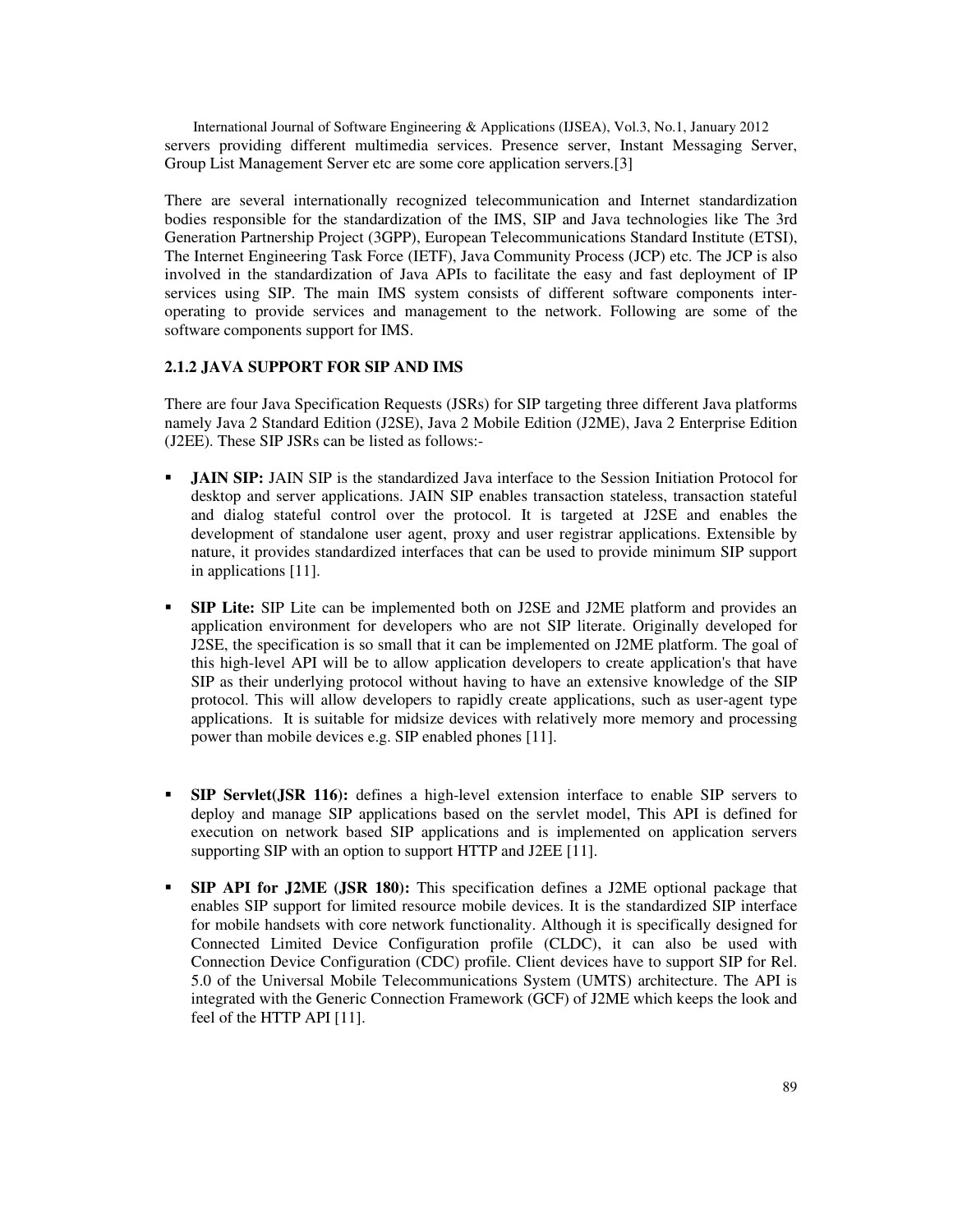International Journal of Software Engineering & Applications (IJSEA), Vol.3, No.1, January 2012 servers providing different multimedia services. Presence server, Instant Messaging Server, Group List Management Server etc are some core application servers.[3]

There are several internationally recognized telecommunication and Internet standardization bodies responsible for the standardization of the IMS, SIP and Java technologies like The 3rd Generation Partnership Project (3GPP), European Telecommunications Standard Institute (ETSI), The Internet Engineering Task Force (IETF), Java Community Process (JCP) etc. The JCP is also involved in the standardization of Java APIs to facilitate the easy and fast deployment of IP services using SIP. The main IMS system consists of different software components interoperating to provide services and management to the network. Following are some of the software components support for IMS.

# **2.1.2 JAVA SUPPORT FOR SIP AND IMS**

There are four Java Specification Requests (JSRs) for SIP targeting three different Java platforms namely Java 2 Standard Edition (J2SE), Java 2 Mobile Edition (J2ME), Java 2 Enterprise Edition (J2EE). These SIP JSRs can be listed as follows:-

- **JAIN SIP:** JAIN SIP is the standardized Java interface to the Session Initiation Protocol for desktop and server applications. JAIN SIP enables transaction stateless, transaction stateful and dialog stateful control over the protocol. It is targeted at J2SE and enables the development of standalone user agent, proxy and user registrar applications. Extensible by nature, it provides standardized interfaces that can be used to provide minimum SIP support in applications [11].
- **SIP Lite:** SIP Lite can be implemented both on J2SE and J2ME platform and provides an application environment for developers who are not SIP literate. Originally developed for J2SE, the specification is so small that it can be implemented on J2ME platform. The goal of this high-level API will be to allow application developers to create application's that have SIP as their underlying protocol without having to have an extensive knowledge of the SIP protocol. This will allow developers to rapidly create applications, such as user-agent type applications. It is suitable for midsize devices with relatively more memory and processing power than mobile devices e.g. SIP enabled phones [11].
- **SIP Servlet(JSR 116):** defines a high-level extension interface to enable SIP servers to deploy and manage SIP applications based on the servlet model, This API is defined for execution on network based SIP applications and is implemented on application servers supporting SIP with an option to support HTTP and J2EE [11].
- **SIP API for J2ME (JSR 180):** This specification defines a J2ME optional package that enables SIP support for limited resource mobile devices. It is the standardized SIP interface for mobile handsets with core network functionality. Although it is specifically designed for Connected Limited Device Configuration profile (CLDC), it can also be used with Connection Device Configuration (CDC) profile. Client devices have to support SIP for Rel. 5.0 of the Universal Mobile Telecommunications System (UMTS) architecture. The API is integrated with the Generic Connection Framework (GCF) of J2ME which keeps the look and feel of the HTTP API [11].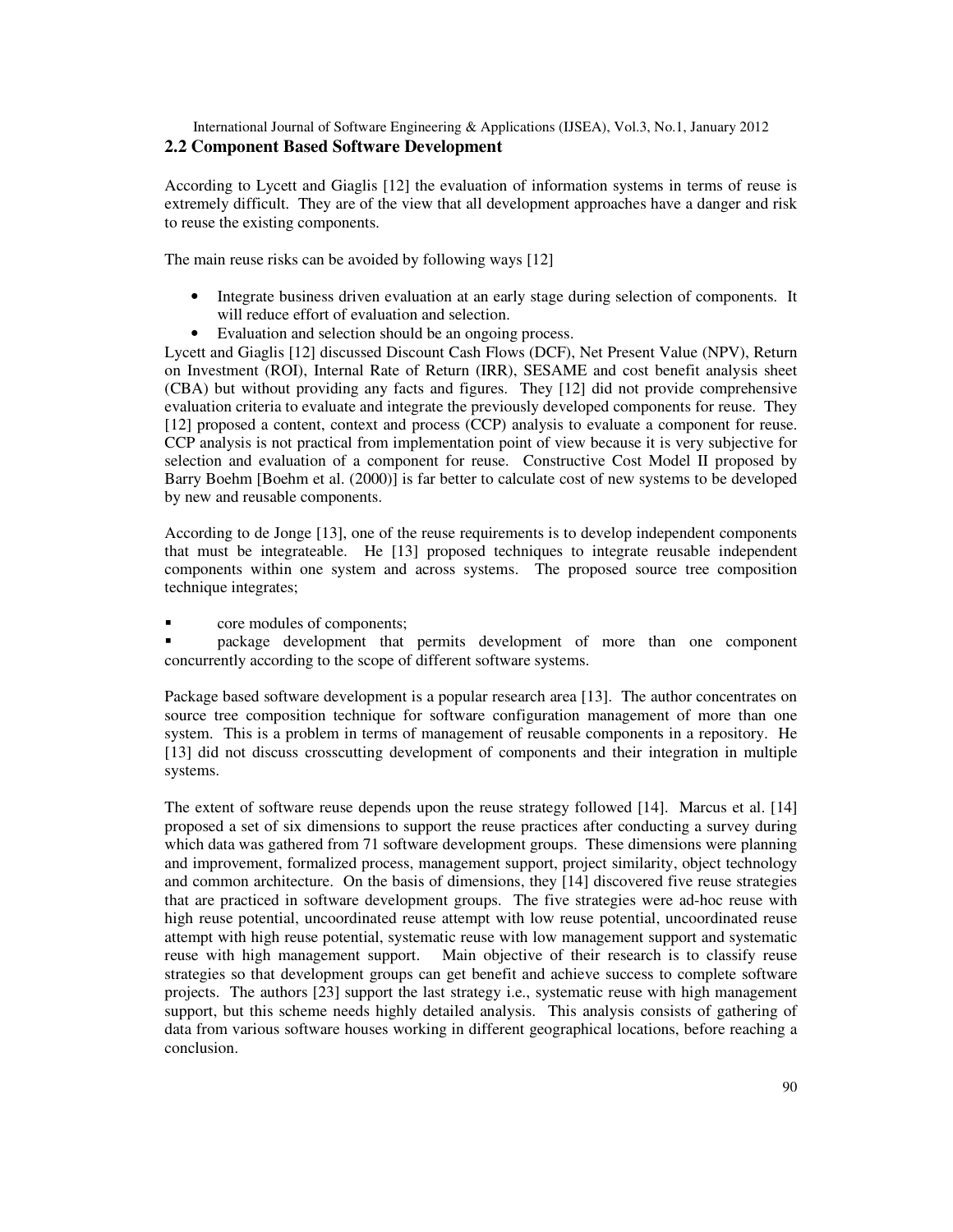## International Journal of Software Engineering & Applications (IJSEA), Vol.3, No.1, January 2012 **2.2 Component Based Software Development**

According to Lycett and Giaglis [12] the evaluation of information systems in terms of reuse is extremely difficult. They are of the view that all development approaches have a danger and risk to reuse the existing components.

The main reuse risks can be avoided by following ways [12]

- Integrate business driven evaluation at an early stage during selection of components. It will reduce effort of evaluation and selection.
- Evaluation and selection should be an ongoing process.

Lycett and Giaglis [12] discussed Discount Cash Flows (DCF), Net Present Value (NPV), Return on Investment (ROI), Internal Rate of Return (IRR), SESAME and cost benefit analysis sheet (CBA) but without providing any facts and figures. They [12] did not provide comprehensive evaluation criteria to evaluate and integrate the previously developed components for reuse. They [12] proposed a content, context and process (CCP) analysis to evaluate a component for reuse. CCP analysis is not practical from implementation point of view because it is very subjective for selection and evaluation of a component for reuse. Constructive Cost Model II proposed by Barry Boehm [Boehm et al. (2000)] is far better to calculate cost of new systems to be developed by new and reusable components.

According to de Jonge [13], one of the reuse requirements is to develop independent components that must be integrateable. He [13] proposed techniques to integrate reusable independent components within one system and across systems. The proposed source tree composition technique integrates;

core modules of components;

 package development that permits development of more than one component concurrently according to the scope of different software systems.

Package based software development is a popular research area [13]. The author concentrates on source tree composition technique for software configuration management of more than one system. This is a problem in terms of management of reusable components in a repository. He [13] did not discuss crosscutting development of components and their integration in multiple systems.

The extent of software reuse depends upon the reuse strategy followed [14]. Marcus et al. [14] proposed a set of six dimensions to support the reuse practices after conducting a survey during which data was gathered from 71 software development groups. These dimensions were planning and improvement, formalized process, management support, project similarity, object technology and common architecture. On the basis of dimensions, they [14] discovered five reuse strategies that are practiced in software development groups. The five strategies were ad-hoc reuse with high reuse potential, uncoordinated reuse attempt with low reuse potential, uncoordinated reuse attempt with high reuse potential, systematic reuse with low management support and systematic reuse with high management support. Main objective of their research is to classify reuse strategies so that development groups can get benefit and achieve success to complete software projects. The authors [23] support the last strategy i.e., systematic reuse with high management support, but this scheme needs highly detailed analysis. This analysis consists of gathering of data from various software houses working in different geographical locations, before reaching a conclusion.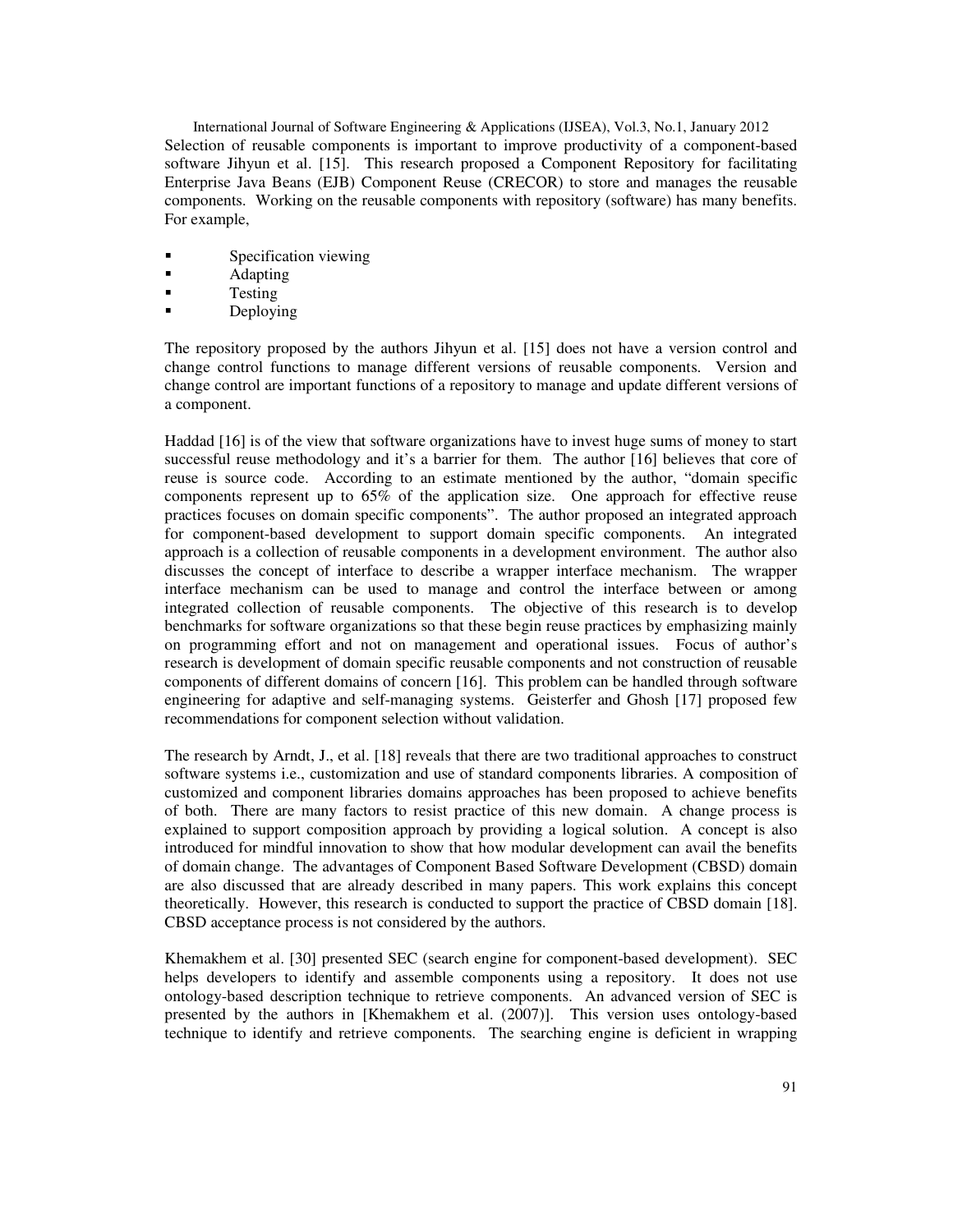International Journal of Software Engineering & Applications (IJSEA), Vol.3, No.1, January 2012 Selection of reusable components is important to improve productivity of a component-based software Jihyun et al. [15]. This research proposed a Component Repository for facilitating Enterprise Java Beans (EJB) Component Reuse (CRECOR) to store and manages the reusable components. Working on the reusable components with repository (software) has many benefits. For example,

- Specification viewing
- **Adapting**
- **Testing**
- **Deploying**

The repository proposed by the authors Jihyun et al. [15] does not have a version control and change control functions to manage different versions of reusable components. Version and change control are important functions of a repository to manage and update different versions of a component.

Haddad [16] is of the view that software organizations have to invest huge sums of money to start successful reuse methodology and it's a barrier for them. The author [16] believes that core of reuse is source code. According to an estimate mentioned by the author, "domain specific components represent up to 65% of the application size. One approach for effective reuse practices focuses on domain specific components". The author proposed an integrated approach for component-based development to support domain specific components. An integrated approach is a collection of reusable components in a development environment. The author also discusses the concept of interface to describe a wrapper interface mechanism. The wrapper interface mechanism can be used to manage and control the interface between or among integrated collection of reusable components. The objective of this research is to develop benchmarks for software organizations so that these begin reuse practices by emphasizing mainly on programming effort and not on management and operational issues. Focus of author's research is development of domain specific reusable components and not construction of reusable components of different domains of concern [16]. This problem can be handled through software engineering for adaptive and self-managing systems. Geisterfer and Ghosh [17] proposed few recommendations for component selection without validation.

The research by Arndt, J., et al. [18] reveals that there are two traditional approaches to construct software systems i.e., customization and use of standard components libraries. A composition of customized and component libraries domains approaches has been proposed to achieve benefits of both. There are many factors to resist practice of this new domain. A change process is explained to support composition approach by providing a logical solution. A concept is also introduced for mindful innovation to show that how modular development can avail the benefits of domain change. The advantages of Component Based Software Development (CBSD) domain are also discussed that are already described in many papers. This work explains this concept theoretically. However, this research is conducted to support the practice of CBSD domain [18]. CBSD acceptance process is not considered by the authors.

Khemakhem et al. [30] presented SEC (search engine for component-based development). SEC helps developers to identify and assemble components using a repository. It does not use ontology-based description technique to retrieve components. An advanced version of SEC is presented by the authors in [Khemakhem et al. (2007)]. This version uses ontology-based technique to identify and retrieve components. The searching engine is deficient in wrapping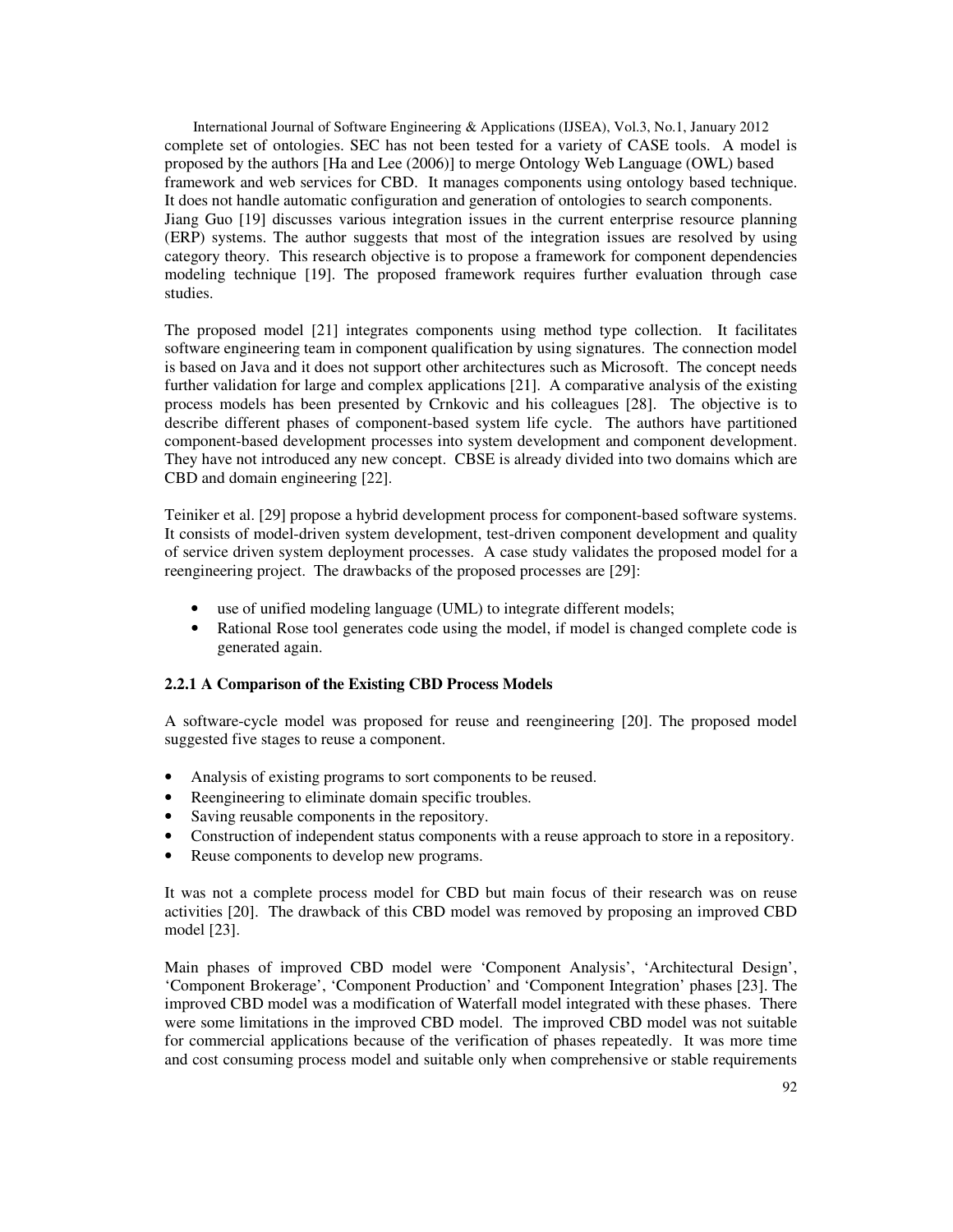International Journal of Software Engineering & Applications (IJSEA), Vol.3, No.1, January 2012 complete set of ontologies. SEC has not been tested for a variety of CASE tools. A model is proposed by the authors [Ha and Lee (2006)] to merge Ontology Web Language (OWL) based framework and web services for CBD. It manages components using ontology based technique. It does not handle automatic configuration and generation of ontologies to search components. Jiang Guo [19] discusses various integration issues in the current enterprise resource planning (ERP) systems. The author suggests that most of the integration issues are resolved by using category theory. This research objective is to propose a framework for component dependencies modeling technique [19]. The proposed framework requires further evaluation through case studies.

The proposed model [21] integrates components using method type collection. It facilitates software engineering team in component qualification by using signatures. The connection model is based on Java and it does not support other architectures such as Microsoft. The concept needs further validation for large and complex applications [21]. A comparative analysis of the existing process models has been presented by Crnkovic and his colleagues [28]. The objective is to describe different phases of component-based system life cycle. The authors have partitioned component-based development processes into system development and component development. They have not introduced any new concept. CBSE is already divided into two domains which are CBD and domain engineering [22].

Teiniker et al. [29] propose a hybrid development process for component-based software systems. It consists of model-driven system development, test-driven component development and quality of service driven system deployment processes. A case study validates the proposed model for a reengineering project. The drawbacks of the proposed processes are [29]:

- use of unified modeling language (UML) to integrate different models;
- Rational Rose tool generates code using the model, if model is changed complete code is generated again.

#### **2.2.1 A Comparison of the Existing CBD Process Models**

A software-cycle model was proposed for reuse and reengineering [20]. The proposed model suggested five stages to reuse a component.

- Analysis of existing programs to sort components to be reused.
- Reengineering to eliminate domain specific troubles.
- Saving reusable components in the repository.
- Construction of independent status components with a reuse approach to store in a repository.
- Reuse components to develop new programs.

It was not a complete process model for CBD but main focus of their research was on reuse activities [20]. The drawback of this CBD model was removed by proposing an improved CBD model [23].

Main phases of improved CBD model were 'Component Analysis', 'Architectural Design', 'Component Brokerage', 'Component Production' and 'Component Integration' phases [23]. The improved CBD model was a modification of Waterfall model integrated with these phases. There were some limitations in the improved CBD model. The improved CBD model was not suitable for commercial applications because of the verification of phases repeatedly. It was more time and cost consuming process model and suitable only when comprehensive or stable requirements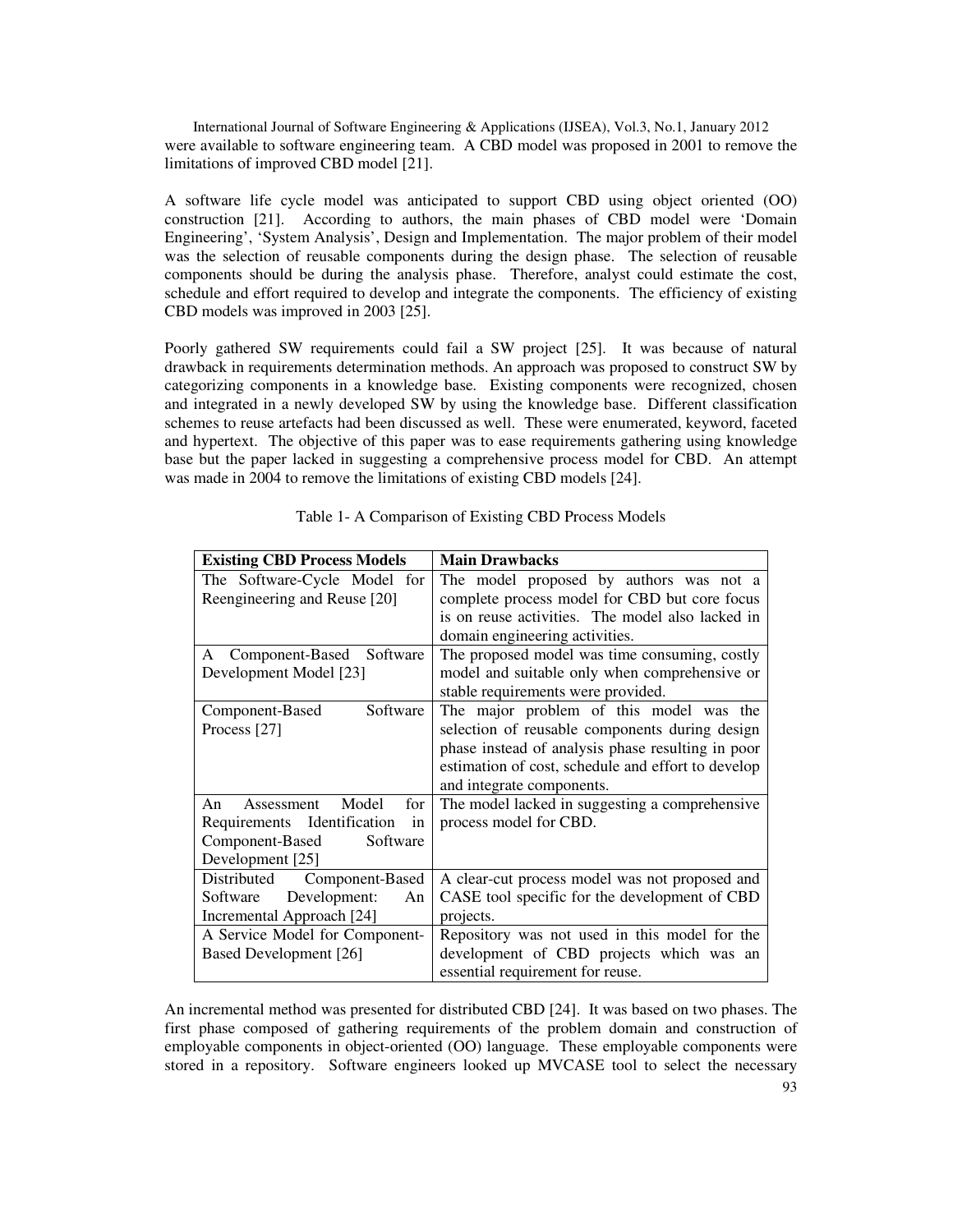International Journal of Software Engineering & Applications (IJSEA), Vol.3, No.1, January 2012 were available to software engineering team. A CBD model was proposed in 2001 to remove the limitations of improved CBD model [21].

A software life cycle model was anticipated to support CBD using object oriented (OO) construction [21]. According to authors, the main phases of CBD model were 'Domain Engineering', 'System Analysis', Design and Implementation. The major problem of their model was the selection of reusable components during the design phase. The selection of reusable components should be during the analysis phase. Therefore, analyst could estimate the cost, schedule and effort required to develop and integrate the components. The efficiency of existing CBD models was improved in 2003 [25].

Poorly gathered SW requirements could fail a SW project [25]. It was because of natural drawback in requirements determination methods. An approach was proposed to construct SW by categorizing components in a knowledge base. Existing components were recognized, chosen and integrated in a newly developed SW by using the knowledge base. Different classification schemes to reuse artefacts had been discussed as well. These were enumerated, keyword, faceted and hypertext. The objective of this paper was to ease requirements gathering using knowledge base but the paper lacked in suggesting a comprehensive process model for CBD. An attempt was made in 2004 to remove the limitations of existing CBD models [24].

| <b>Existing CBD Process Models</b> | <b>Main Drawbacks</b>                              |
|------------------------------------|----------------------------------------------------|
| The Software-Cycle Model for       | The model proposed by authors was not a            |
| Reengineering and Reuse [20]       | complete process model for CBD but core focus      |
|                                    | is on reuse activities. The model also lacked in   |
|                                    | domain engineering activities.                     |
| Component-Based<br>Software<br>A   | The proposed model was time consuming, costly      |
| Development Model [23]             | model and suitable only when comprehensive or      |
|                                    | stable requirements were provided.                 |
| Software<br>Component-Based        | The major problem of this model was the            |
| Process [27]                       | selection of reusable components during design     |
|                                    | phase instead of analysis phase resulting in poor  |
|                                    | estimation of cost, schedule and effort to develop |
|                                    | and integrate components.                          |
| Assessment Model<br>for<br>An      | The model lacked in suggesting a comprehensive     |
| Requirements Identification<br>in  | process model for CBD.                             |
| Component-Based<br>Software        |                                                    |
| Development [25]                   |                                                    |
| Component-Based<br>Distributed     | A clear-cut process model was not proposed and     |
| Software<br>Development:<br>An     | CASE tool specific for the development of CBD      |
| Incremental Approach [24]          | projects.                                          |
| A Service Model for Component-     | Repository was not used in this model for the      |
| Based Development [26]             | development of CBD projects which was an           |
|                                    | essential requirement for reuse.                   |

Table 1- A Comparison of Existing CBD Process Models

An incremental method was presented for distributed CBD [24]. It was based on two phases. The first phase composed of gathering requirements of the problem domain and construction of employable components in object-oriented (OO) language. These employable components were stored in a repository. Software engineers looked up MVCASE tool to select the necessary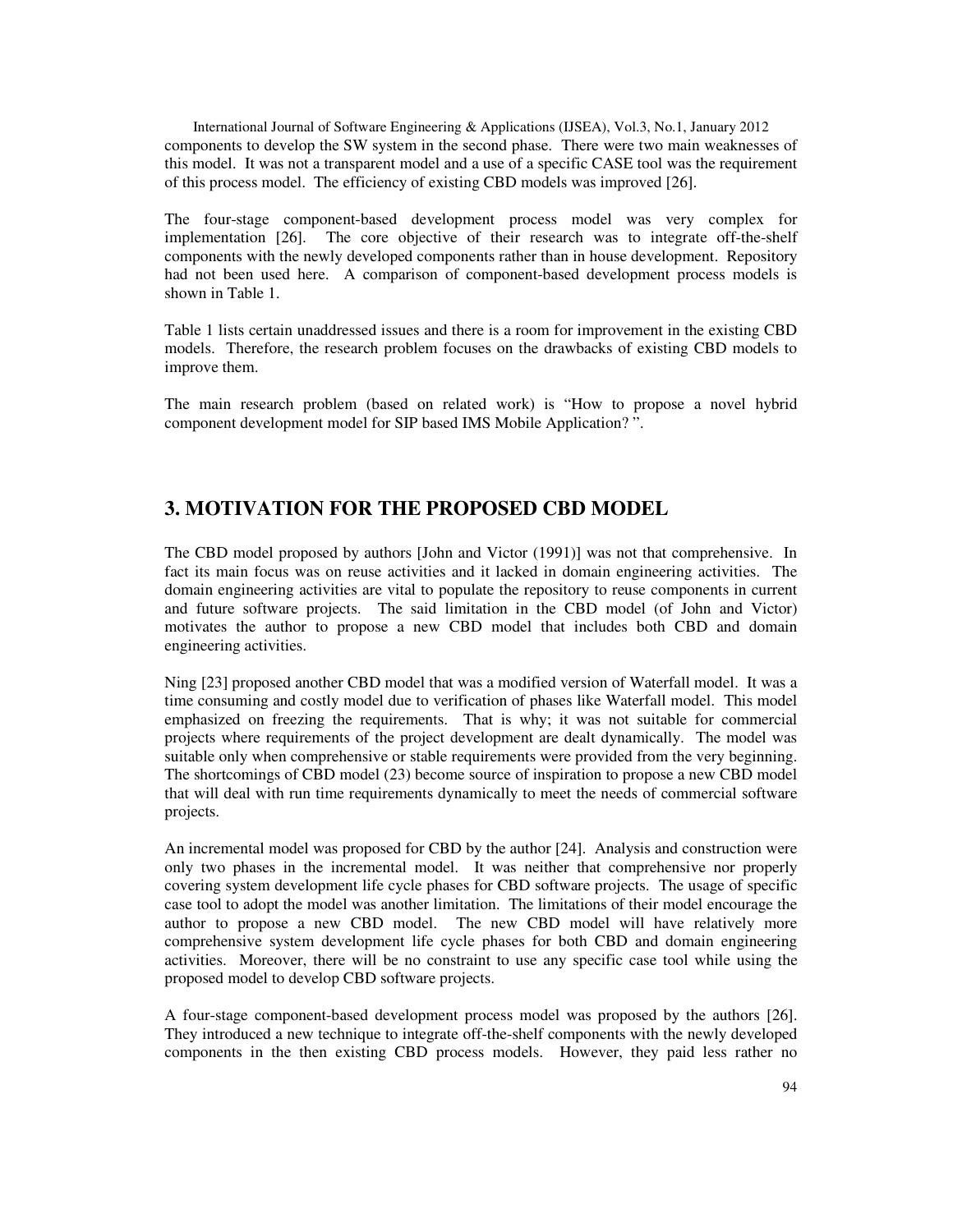International Journal of Software Engineering & Applications (IJSEA), Vol.3, No.1, January 2012 components to develop the SW system in the second phase. There were two main weaknesses of this model. It was not a transparent model and a use of a specific CASE tool was the requirement of this process model. The efficiency of existing CBD models was improved [26].

The four-stage component-based development process model was very complex for implementation [26]. The core objective of their research was to integrate off-the-shelf components with the newly developed components rather than in house development. Repository had not been used here. A comparison of component-based development process models is shown in Table 1.

Table 1 lists certain unaddressed issues and there is a room for improvement in the existing CBD models. Therefore, the research problem focuses on the drawbacks of existing CBD models to improve them.

The main research problem (based on related work) is "How to propose a novel hybrid component development model for SIP based IMS Mobile Application? ".

# **3. MOTIVATION FOR THE PROPOSED CBD MODEL**

The CBD model proposed by authors [John and Victor (1991)] was not that comprehensive. In fact its main focus was on reuse activities and it lacked in domain engineering activities. The domain engineering activities are vital to populate the repository to reuse components in current and future software projects. The said limitation in the CBD model (of John and Victor) motivates the author to propose a new CBD model that includes both CBD and domain engineering activities.

Ning [23] proposed another CBD model that was a modified version of Waterfall model. It was a time consuming and costly model due to verification of phases like Waterfall model. This model emphasized on freezing the requirements. That is why; it was not suitable for commercial projects where requirements of the project development are dealt dynamically. The model was suitable only when comprehensive or stable requirements were provided from the very beginning. The shortcomings of CBD model (23) become source of inspiration to propose a new CBD model that will deal with run time requirements dynamically to meet the needs of commercial software projects.

An incremental model was proposed for CBD by the author [24]. Analysis and construction were only two phases in the incremental model. It was neither that comprehensive nor properly covering system development life cycle phases for CBD software projects. The usage of specific case tool to adopt the model was another limitation. The limitations of their model encourage the author to propose a new CBD model. The new CBD model will have relatively more comprehensive system development life cycle phases for both CBD and domain engineering activities. Moreover, there will be no constraint to use any specific case tool while using the proposed model to develop CBD software projects.

A four-stage component-based development process model was proposed by the authors [26]. They introduced a new technique to integrate off-the-shelf components with the newly developed components in the then existing CBD process models. However, they paid less rather no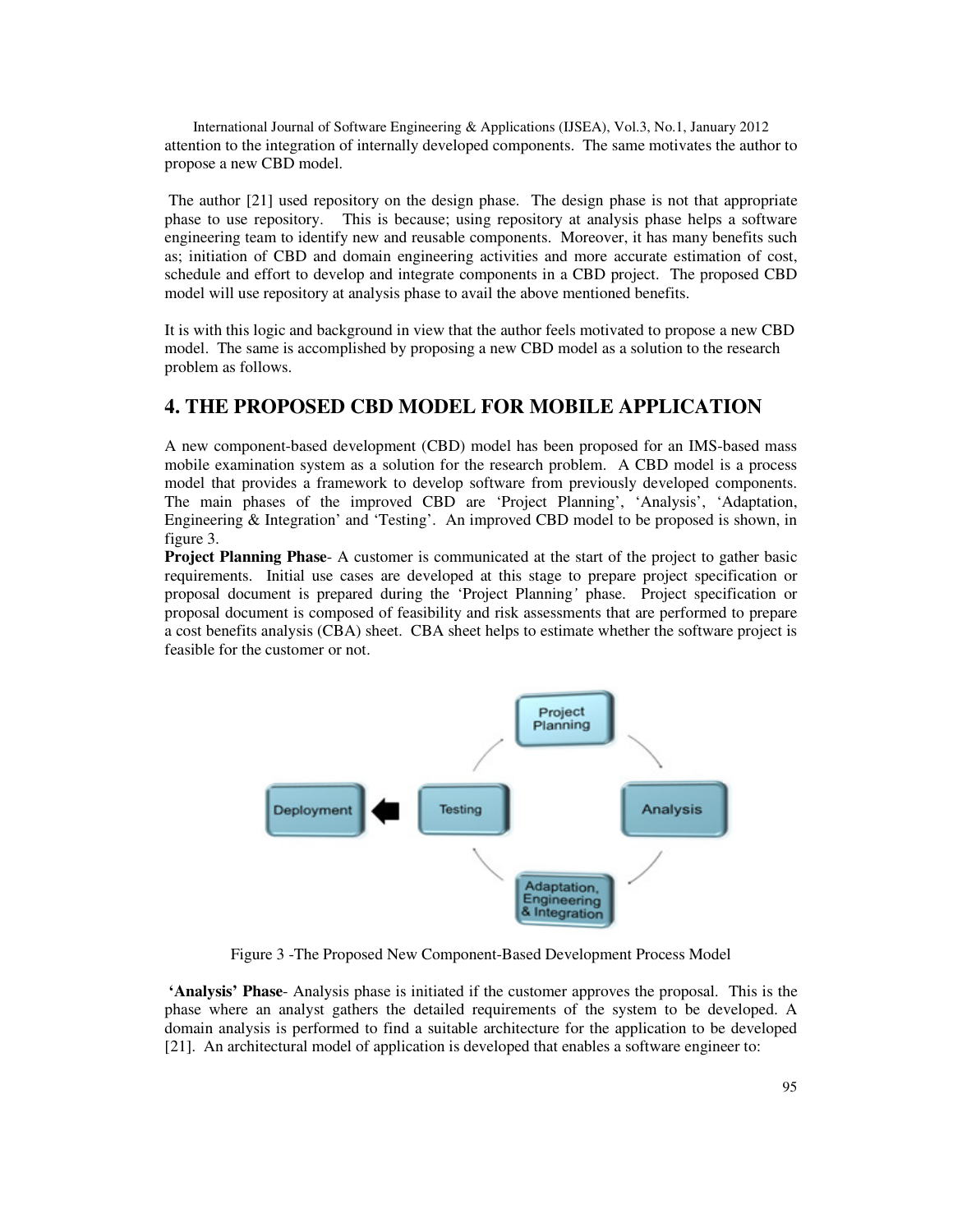International Journal of Software Engineering & Applications (IJSEA), Vol.3, No.1, January 2012 attention to the integration of internally developed components. The same motivates the author to propose a new CBD model.

 The author [21] used repository on the design phase. The design phase is not that appropriate phase to use repository. This is because; using repository at analysis phase helps a software engineering team to identify new and reusable components. Moreover, it has many benefits such as; initiation of CBD and domain engineering activities and more accurate estimation of cost, schedule and effort to develop and integrate components in a CBD project. The proposed CBD model will use repository at analysis phase to avail the above mentioned benefits.

It is with this logic and background in view that the author feels motivated to propose a new CBD model. The same is accomplished by proposing a new CBD model as a solution to the research problem as follows.

# **4. THE PROPOSED CBD MODEL FOR MOBILE APPLICATION**

A new component-based development (CBD) model has been proposed for an IMS-based mass mobile examination system as a solution for the research problem. A CBD model is a process model that provides a framework to develop software from previously developed components. The main phases of the improved CBD are 'Project Planning', 'Analysis', 'Adaptation, Engineering & Integration' and 'Testing'. An improved CBD model to be proposed is shown, in figure 3.

**Project Planning Phase**- A customer is communicated at the start of the project to gather basic requirements. Initial use cases are developed at this stage to prepare project specification or proposal document is prepared during the 'Project Planning*'* phase. Project specification or proposal document is composed of feasibility and risk assessments that are performed to prepare a cost benefits analysis (CBA) sheet. CBA sheet helps to estimate whether the software project is feasible for the customer or not.



Figure 3 -The Proposed New Component-Based Development Process Model

 **'Analysis' Phase**- Analysis phase is initiated if the customer approves the proposal. This is the phase where an analyst gathers the detailed requirements of the system to be developed. A domain analysis is performed to find a suitable architecture for the application to be developed [21]. An architectural model of application is developed that enables a software engineer to: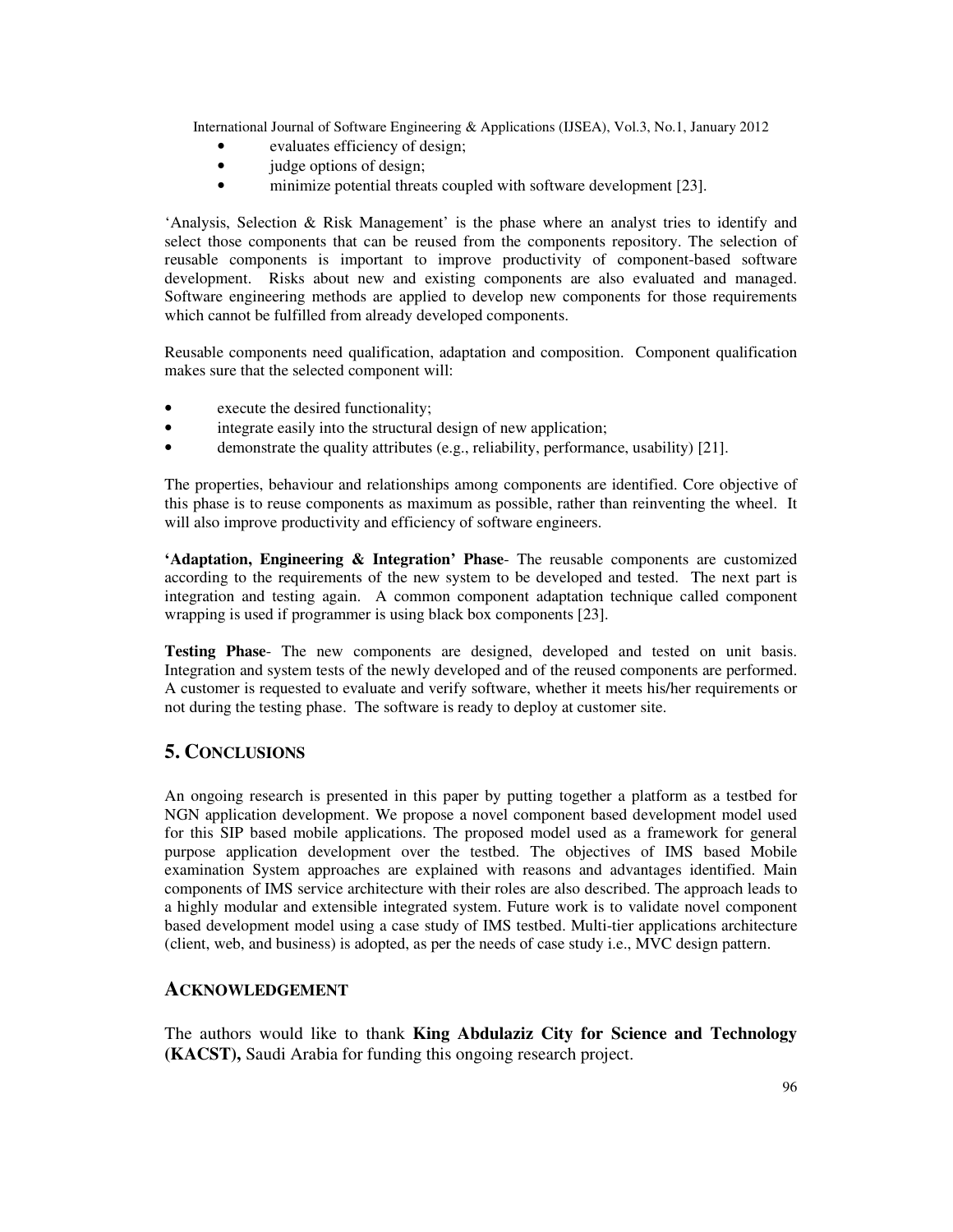- evaluates efficiency of design;
- judge options of design;
- minimize potential threats coupled with software development [23].

'Analysis, Selection & Risk Management' is the phase where an analyst tries to identify and select those components that can be reused from the components repository. The selection of reusable components is important to improve productivity of component-based software development. Risks about new and existing components are also evaluated and managed. Software engineering methods are applied to develop new components for those requirements which cannot be fulfilled from already developed components.

Reusable components need qualification, adaptation and composition. Component qualification makes sure that the selected component will:

- execute the desired functionality;
- integrate easily into the structural design of new application;
- demonstrate the quality attributes (e.g., reliability, performance, usability) [21].

The properties, behaviour and relationships among components are identified. Core objective of this phase is to reuse components as maximum as possible, rather than reinventing the wheel. It will also improve productivity and efficiency of software engineers.

**'Adaptation, Engineering & Integration' Phase**- The reusable components are customized according to the requirements of the new system to be developed and tested. The next part is integration and testing again. A common component adaptation technique called component wrapping is used if programmer is using black box components [23].

**Testing Phase**- The new components are designed, developed and tested on unit basis. Integration and system tests of the newly developed and of the reused components are performed. A customer is requested to evaluate and verify software, whether it meets his/her requirements or not during the testing phase. The software is ready to deploy at customer site.

# **5. CONCLUSIONS**

An ongoing research is presented in this paper by putting together a platform as a testbed for NGN application development. We propose a novel component based development model used for this SIP based mobile applications. The proposed model used as a framework for general purpose application development over the testbed. The objectives of IMS based Mobile examination System approaches are explained with reasons and advantages identified. Main components of IMS service architecture with their roles are also described. The approach leads to a highly modular and extensible integrated system. Future work is to validate novel component based development model using a case study of IMS testbed. Multi-tier applications architecture (client, web, and business) is adopted, as per the needs of case study i.e., MVC design pattern.

## **ACKNOWLEDGEMENT**

The authors would like to thank **King Abdulaziz City for Science and Technology (KACST),** Saudi Arabia for funding this ongoing research project.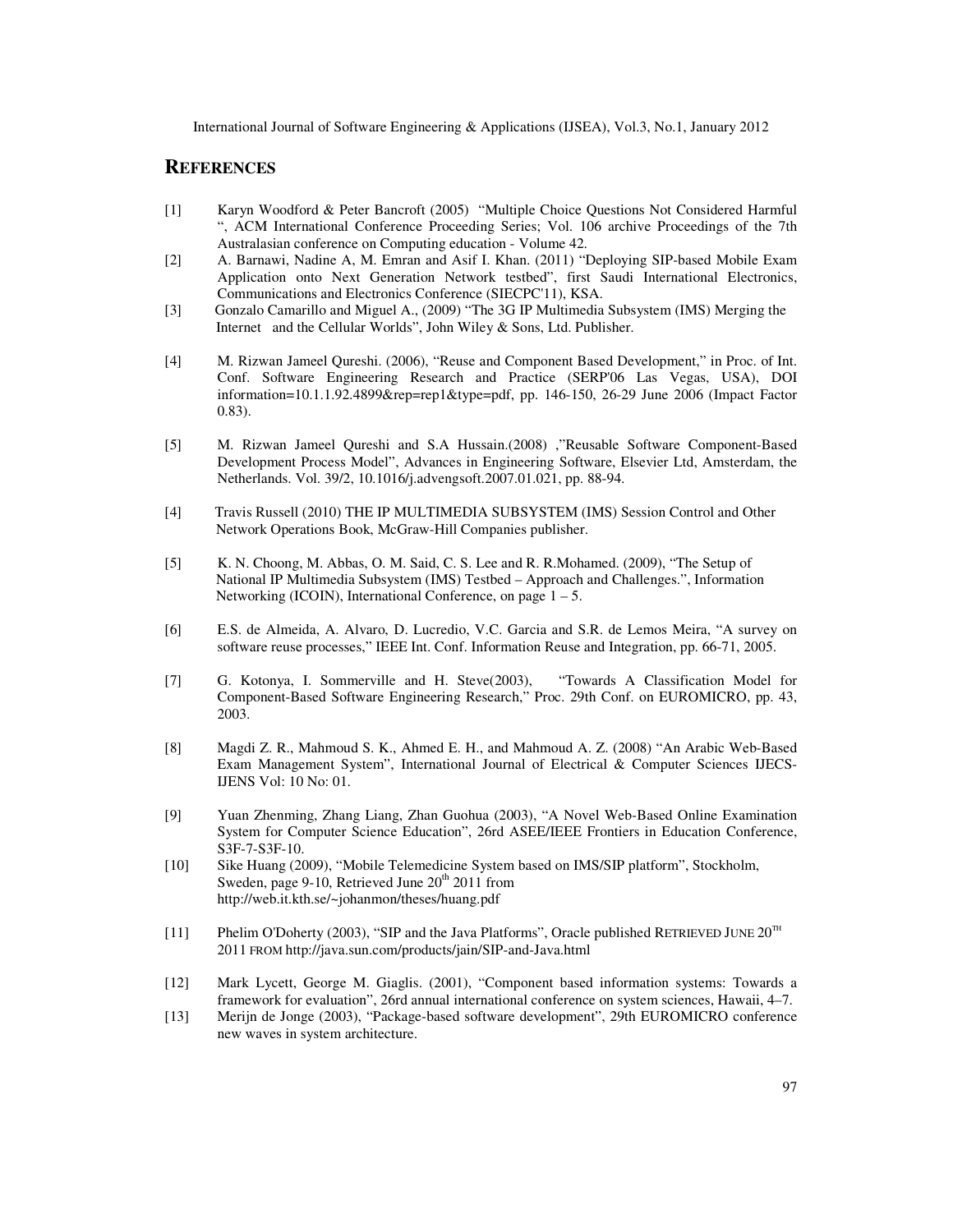#### **REFERENCES**

- [1] Karyn Woodford & Peter Bancroft (2005) "Multiple Choice Questions Not Considered Harmful ", ACM International Conference Proceeding Series; Vol. 106 archive Proceedings of the 7th Australasian conference on Computing education - Volume 42.
- [2] A. Barnawi, Nadine A, M. Emran and Asif I. Khan. (2011) "Deploying SIP-based Mobile Exam Application onto Next Generation Network testbed", first Saudi International Electronics, Communications and Electronics Conference (SIECPC'11), KSA.
- [3] Gonzalo Camarillo and Miguel A., (2009) "The 3G IP Multimedia Subsystem (IMS) Merging the Internet and the Cellular Worlds", John Wiley & Sons, Ltd. Publisher.
- [4] M. Rizwan Jameel Qureshi. (2006), "Reuse and Component Based Development," in Proc. of Int. Conf. Software Engineering Research and Practice (SERP'06 Las Vegas, USA), DOI information=10.1.1.92.4899&rep=rep1&type=pdf, pp. 146-150, 26-29 June 2006 (Impact Factor 0.83).
- [5] M. Rizwan Jameel Qureshi and S.A Hussain.(2008) ,"Reusable Software Component-Based Development Process Model", Advances in Engineering Software, Elsevier Ltd, Amsterdam, the Netherlands. Vol. 39/2, 10.1016/j.advengsoft.2007.01.021, pp. 88-94.
- [4] Travis Russell (2010) THE IP MULTIMEDIA SUBSYSTEM (IMS) Session Control and Other Network Operations Book, McGraw-Hill Companies publisher.
- [5] K. N. Choong, M. Abbas, O. M. Said, C. S. Lee and R. R.Mohamed. (2009), "The Setup of National IP Multimedia Subsystem (IMS) Testbed – Approach and Challenges.", Information Networking (ICOIN), International Conference, on page  $1 - 5$ .
- [6] E.S. de Almeida, A. Alvaro, D. Lucredio, V.C. Garcia and S.R. de Lemos Meira, "A survey on software reuse processes," IEEE Int. Conf. Information Reuse and Integration, pp. 66-71, 2005.
- [7] G. Kotonya, I. Sommerville and H. Steve(2003), "Towards A Classification Model for Component-Based Software Engineering Research," Proc. 29th Conf. on EUROMICRO, pp. 43, 2003.
- [8] Magdi Z. R., Mahmoud S. K., Ahmed E. H., and Mahmoud A. Z. (2008) "An Arabic Web-Based Exam Management System", International Journal of Electrical & Computer Sciences IJECS-IJENS Vol: 10 No: 01.
- [9] Yuan Zhenming, Zhang Liang, Zhan Guohua (2003), "A Novel Web-Based Online Examination System for Computer Science Education", 26rd ASEE/IEEE Frontiers in Education Conference, S3F-7-S3F-10.
- [10] Sike Huang (2009), "Mobile Telemedicine System based on IMS/SIP platform", Stockholm, Sweden, page 9-10, Retrieved June  $20<sup>th</sup> 2011$  from http://web.it.kth.se/~johanmon/theses/huang.pdf
- [11] Phelim O'Doherty (2003), "SIP and the Java Platforms", Oracle published RETRIEVED JUNE  $20^{TH}$ 2011 FROM http://java.sun.com/products/jain/SIP-and-Java.html
- [12] Mark Lycett, George M. Giaglis. (2001), "Component based information systems: Towards a framework for evaluation", 26rd annual international conference on system sciences, Hawaii, 4–7.
- [13] Merijn de Jonge (2003), "Package-based software development", 29th EUROMICRO conference new waves in system architecture.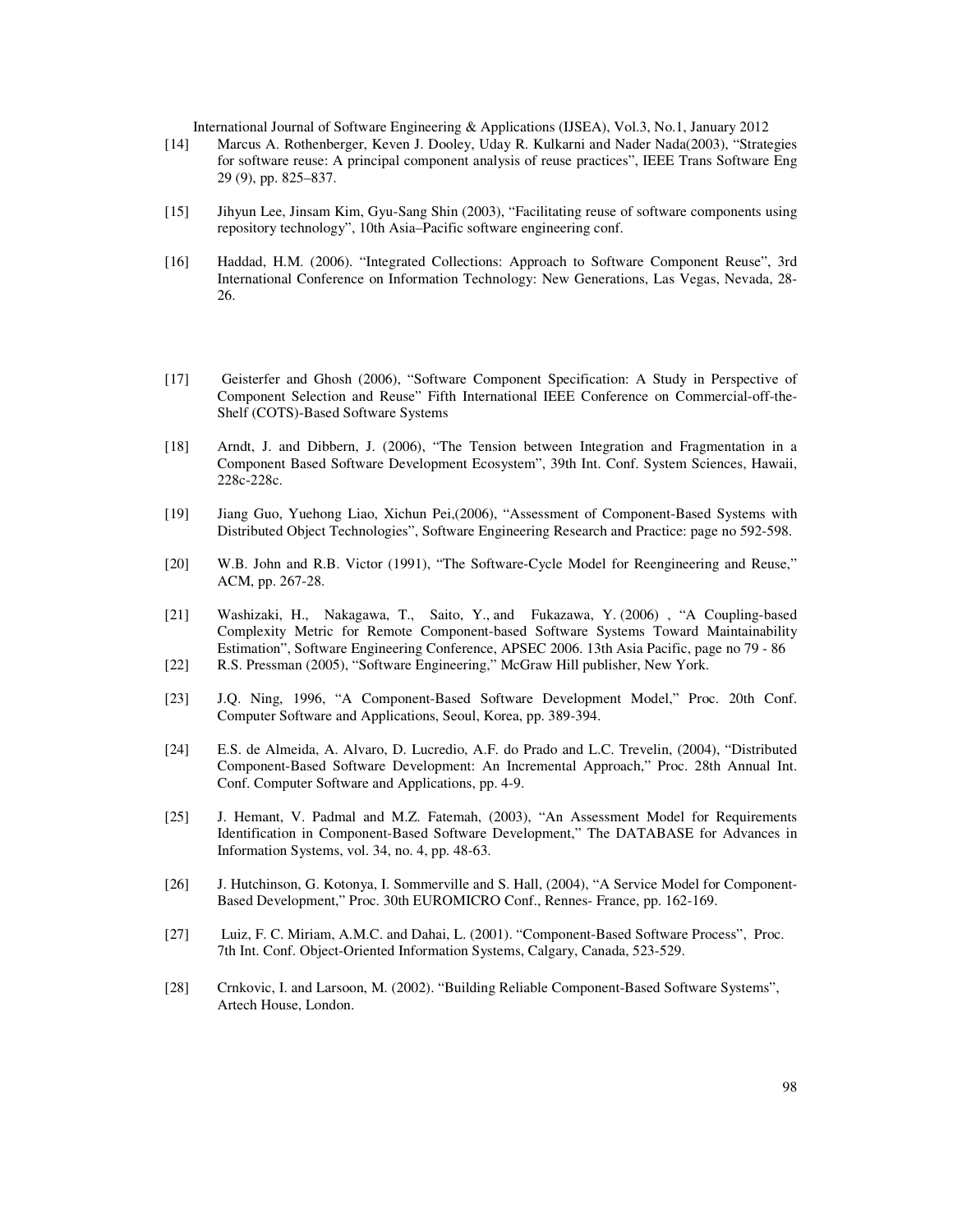- [14] Marcus A. Rothenberger, Keven J. Dooley, Uday R. Kulkarni and Nader Nada(2003), "Strategies for software reuse: A principal component analysis of reuse practices", IEEE Trans Software Eng 29 (9), pp. 825–837.
- [15] Jihyun Lee, Jinsam Kim, Gyu-Sang Shin (2003), "Facilitating reuse of software components using repository technology", 10th Asia–Pacific software engineering conf.
- [16] Haddad, H.M. (2006). "Integrated Collections: Approach to Software Component Reuse", 3rd International Conference on Information Technology: New Generations, Las Vegas, Nevada, 28- 26.
- [17] Geisterfer and Ghosh (2006), "Software Component Specification: A Study in Perspective of Component Selection and Reuse" Fifth International IEEE Conference on Commercial-off-the-Shelf (COTS)-Based Software Systems
- [18] Arndt, J. and Dibbern, J. (2006), "The Tension between Integration and Fragmentation in a Component Based Software Development Ecosystem", 39th Int. Conf. System Sciences, Hawaii, 228c-228c.
- [19] Jiang Guo, Yuehong Liao, Xichun Pei,(2006), "Assessment of Component-Based Systems with Distributed Object Technologies", Software Engineering Research and Practice: page no 592-598.
- [20] W.B. John and R.B. Victor (1991), "The Software-Cycle Model for Reengineering and Reuse," ACM, pp. 267-28.
- [21] Washizaki, H., Nakagawa, T., Saito, Y., and Fukazawa, Y. (2006) , "A Coupling-based Complexity Metric for Remote Component-based Software Systems Toward Maintainability Estimation", Software Engineering Conference, APSEC 2006. 13th Asia Pacific, page no 79 - 86
- [22] R.S. Pressman (2005), "Software Engineering," McGraw Hill publisher, New York.
- [23] J.Q. Ning, 1996, "A Component-Based Software Development Model," Proc. 20th Conf. Computer Software and Applications, Seoul, Korea, pp. 389-394.
- [24] E.S. de Almeida, A. Alvaro, D. Lucredio, A.F. do Prado and L.C. Trevelin, (2004), "Distributed Component-Based Software Development: An Incremental Approach," Proc. 28th Annual Int. Conf. Computer Software and Applications, pp. 4-9.
- [25] J. Hemant, V. Padmal and M.Z. Fatemah, (2003), "An Assessment Model for Requirements Identification in Component-Based Software Development," The DATABASE for Advances in Information Systems, vol. 34, no. 4, pp. 48-63.
- [26] J. Hutchinson, G. Kotonya, I. Sommerville and S. Hall, (2004), "A Service Model for Component-Based Development," Proc. 30th EUROMICRO Conf., Rennes- France, pp. 162-169.
- [27] Luiz, F. C. Miriam, A.M.C. and Dahai, L. (2001). "Component-Based Software Process", Proc. 7th Int. Conf. Object-Oriented Information Systems, Calgary, Canada, 523-529.
- [28] Crnkovic, I. and Larsoon, M. (2002). "Building Reliable Component-Based Software Systems", Artech House, London.